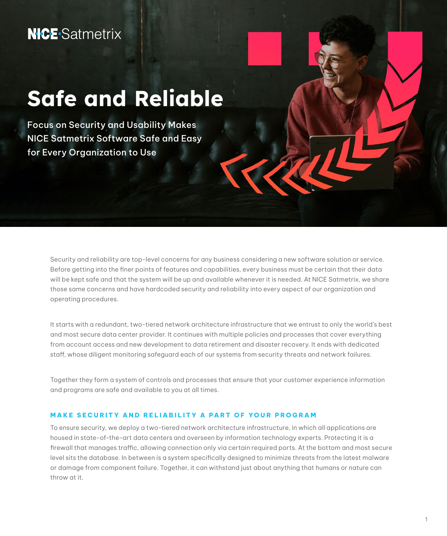# Safe and Reliable

Focus on Security and Usability Makes NICE Satmetrix Software Safe and Easy for Every Organization to Use

> Security and reliability are top-level concerns for any business considering a new software solution or service. Before getting into the finer points of features and capabilities, every business must be certain that their data will be kept safe and that the system will be up and available whenever it is needed. At NICE Satmetrix, we share those same concerns and have hardcoded security and reliability into every aspect of our organization and operating procedures.

> It starts with a redundant, two-tiered network architecture infrastructure that we entrust to only the world's best and most secure data center provider. It continues with multiple policies and processes that cover everything from account access and new development to data retirement and disaster recovery. It ends with dedicated staff, whose diligent monitoring safeguard each of our systems from security threats and network failures.

Together they form a system of controls and processes that ensure that your customer experience information and programs are safe and available to you at all times.

#### **MAKE SECURITY AND RELIABILITY A PART OF YOUR PROGRAM**

To ensure security, we deploy a two-tiered network architecture infrastructure, in which all applications are housed in state-of-the-art data centers and overseen by information technology experts. Protecting it is a firewall that manages traffic, allowing connection only via certain required ports. At the bottom and most secure level sits the database. In between is a system specifically designed to minimize threats from the latest malware or damage from component failure. Together, it can withstand just about anything that humans or nature can throw at it.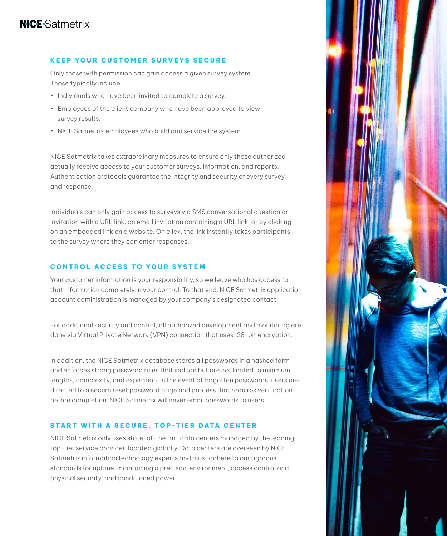#### **KEEP YOUR CUSTOMER SURVEYS SECURE**

Only those with permission can gain access a given survey system. Those typically include:

- Individuals who have been invited to complete a survey.
- Employees of the client company who have been approved to view survey results.
- NICE Satmetrix employees who build and service the system.

NICE Satmetrix takes extraordinary measures to ensure only those authorized actually receive access to your customer surveys, information, and reports. Authentication protocols guarantee the integrity and security of every survey and response.

Individuals can only gain access to surveys via SMS conversational question or invitation with a URL link, an email invitation containing a URL link, or by clicking on an embedded link on a website. On click, the link instantly takes participants to the survey where they can enter responses.

#### **CONTROL ACCESS TO YOUR SYSTEM**

Your customer information is your responsibility, so we leave who has access to that information completely in your control. To that end, NICE Satmetrix application account administration is managed by your company's designated contact.

For additional security and control, all authorized development and monitoring are done via Virtual Private Network (VPN) connection that uses 128-bit encryption.

In addition, the NICE Satmetrix database stores all passwords in a hashed form and enforces strong password rules that include but are not limited to minimum lengths, complexity, and expiration. In the event of forgotten passwords, users are directed to a secure reset password page and process that requires verification before completion. NICE Satmetrix will never email passwords to users.

#### **START WITH A SECURE, TOP-TIER DATA CENTER**

NICE Satmetrix only uses state-of-the-art data centers managed by the leading top-tier service provider, located globally. Data centers are overseen by NICE Satmetrix information technology experts and must adhere to our rigorous standards for uptime, maintaining a precision environment, access control and physical security, and conditioned power.

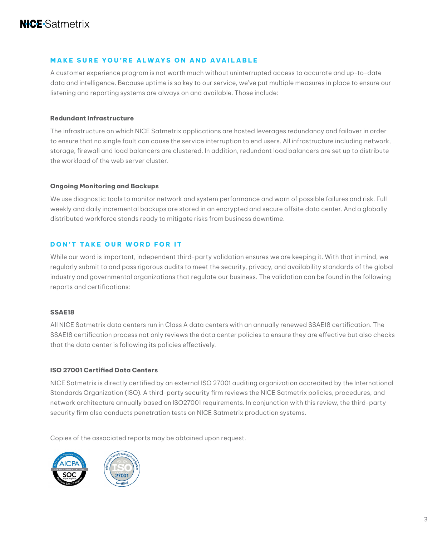#### **MAKE SURE YOU'RE ALWAYS ON AND AVAILABLE**

A customer experience program is not worth much without uninterrupted access to accurate and up-to-date data and intelligence. Because uptime is so key to our service, we've put multiple measures in place to ensure our listening and reporting systems are always on and available. Those include:

#### **Redundant Infrastructure**

The infrastructure on which NICE Satmetrix applications are hosted leverages redundancy and failover in order to ensure that no single fault can cause the service interruption to end users. All infrastructure including network, storage, firewall and load balancers are clustered. In addition, redundant load balancers are set up to distribute the workload of the web server cluster.

#### **Ongoing Monitoring and Backups**

We use diagnostic tools to monitor network and system performance and warn of possible failures and risk. Full weekly and daily incremental backups are stored in an encrypted and secure offsite data center. And a globally distributed workforce stands ready to mitigate risks from business downtime.

#### **DON'T TAKE OUR WORD FOR IT**

While our word is important, independent third-party validation ensures we are keeping it. With that in mind, we regularly submit to and pass rigorous audits to meet the security, privacy, and availability standards of the global industry and governmental organizations that regulate our business. The validation can be found in the following reports and certifications:

#### **SSAE18**

All NICE Satmetrix data centers run in Class A data centers with an annually renewed SSAE18 certification. The SSAE18 certification process not only reviews the data center policies to ensure they are effective but also checks that the data center is following its policies effectively.

#### **ISO 27001 Certified Data Centers**

NICE Satmetrix is directly certified by an external ISO 27001 auditing organization accredited by the International Standards Organization (ISO). A third-party security firm reviews the NICE Satmetrix policies, procedures, and network architecture annually based on ISO27001 requirements. In conjunction with this review, the third-party security firm also conducts penetration tests on NICE Satmetrix production systems.

Copies of the associated reports may be obtained upon request.



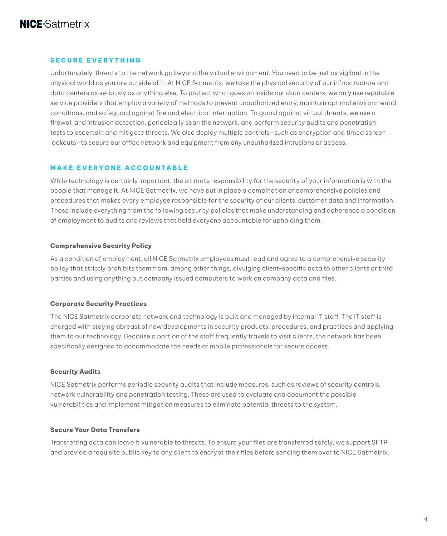#### **SECURE EVERYTHING**

Unfortunately, threats to the network go beyond the virtual environment. You need to be just as vigilant in the physical world as you are outside of it. At NICE Satmetrix, we take the physical security of our infrastructure and data centers as seriously as anything else. To protect what goes on inside our data centers, we only use reputable service providers that employ a variety of methods to prevent unauthorized entry, maintain optimal environmental conditions, and safeguard against fire and electrical interruption. To guard against virtual threats, we use a firewall and intrusion detection, periodically scan the network, and perform security audits and penetration tests to ascertain and mitigate threats. We also deploy multiple controls—such as encryption and timed screen lockouts—to secure our office network and equipment from any unauthorized intrusions or access.

#### **MAKE EVERYONE ACCOUNTABLE**

While technology is certainly important, the ultimate responsibility for the security of your information is with the people that manage it. At NICE Satmetrix, we have put in place a combination of comprehensive policies and procedures that makes every employee responsible for the security of our clients' customer data and information. Those include everything from the following security policies that make understanding and adherence a condition of employment to audits and reviews that hold everyone accountable for upholding them.

#### **Comprehensive Security Policy**

As a condition of employment, all NICE Satmetrix employees must read and agree to a comprehensive security policy that strictly prohibits them from, among other things, divulging client-specific data to other clients or third parties and using anything but company issued computers to work on company data and files.

#### **Corporate Security Practices**

The NICE Satmetrix corporate network and technology is built and managed by internal IT staff. The IT staff is charged with staying abreast of new developments in security products, procedures, and practices and applying them to our technology. Because a portion of the staff frequently travels to visit clients, the network has been specifically designed to accommodate the needs of mobile professionals for secure access.

#### **Security Audits**

NICE Satmetrix performs periodic security audits that include measures, such as reviews of security controls, network vulnerability and penetration testing. These are used to evaluate and document the possible vulnerabilities and implement mitigation measures to eliminate potential threats to the system.

#### **Secure Your Data Transfers**

Transferring data can leave it vulnerable to threats. To ensure your files are transferred safely, we support SFTP and provide a requisite public key to any client to encrypt their files before sending them over to NICE Satmetrix.